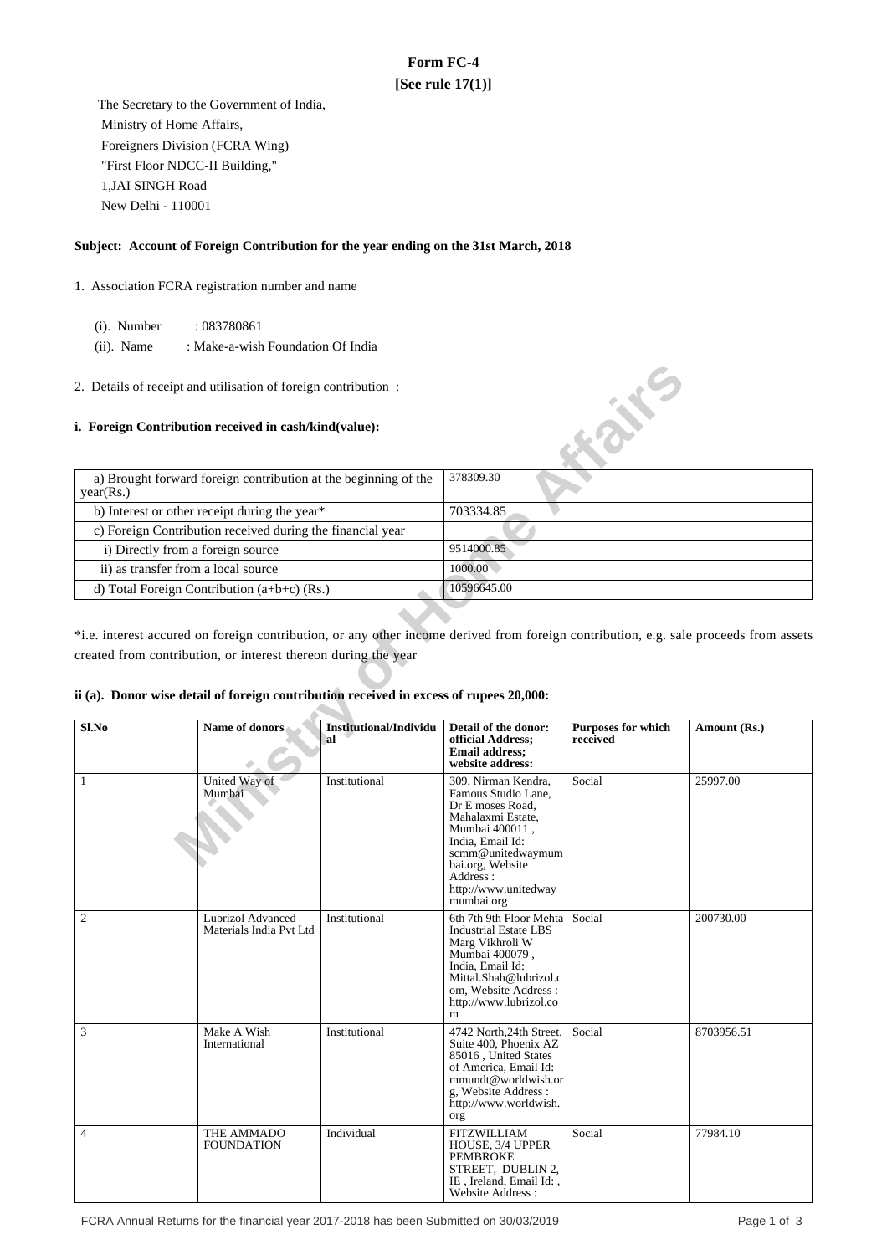# **Form FC-4 [See rule 17(1)]**

 The Secretary to the Government of India, Ministry of Home Affairs, Foreigners Division (FCRA Wing) "First Floor NDCC-II Building," 1,JAI SINGH Road New Delhi - 110001

## **Subject: Account of Foreign Contribution for the year ending on the 31st March, 2018**

- 1. Association FCRA registration number and name
	- (i). Number : 083780861
	- (ii). Name : Make-a-wish Foundation Of India
- 2. Details of receipt and utilisation of foreign contribution :

### **i. Foreign Contribution received in cash/kind(value):**

| a) Brought forward foreign contribution at the beginning of the<br>year(Rs.) | 378309.30   |
|------------------------------------------------------------------------------|-------------|
| b) Interest or other receipt during the year*                                | 703334.85   |
| c) Foreign Contribution received during the financial year                   |             |
| i) Directly from a foreign source                                            | 9514000.85  |
| ii) as transfer from a local source                                          | 1000.00     |
| d) Total Foreign Contribution $(a+b+c)$ (Rs.)                                | 10596645.00 |

#### **ii (a). Donor wise detail of foreign contribution received in excess of rupees 20,000:**

| 2. Details of receipt and utilisation of foreign contribution :                                 |                                                                                        |                                     |                                                                                                                                                                                                                      |                                |                                                                                                                                       |  |
|-------------------------------------------------------------------------------------------------|----------------------------------------------------------------------------------------|-------------------------------------|----------------------------------------------------------------------------------------------------------------------------------------------------------------------------------------------------------------------|--------------------------------|---------------------------------------------------------------------------------------------------------------------------------------|--|
| i. Foreign Contribution received in cash/kind(value):                                           |                                                                                        |                                     |                                                                                                                                                                                                                      |                                |                                                                                                                                       |  |
| year(Rs.)                                                                                       | a) Brought forward foreign contribution at the beginning of the                        |                                     | 378309.30                                                                                                                                                                                                            |                                |                                                                                                                                       |  |
|                                                                                                 | b) Interest or other receipt during the year*                                          |                                     | 703334.85                                                                                                                                                                                                            |                                |                                                                                                                                       |  |
|                                                                                                 |                                                                                        |                                     |                                                                                                                                                                                                                      |                                |                                                                                                                                       |  |
| c) Foreign Contribution received during the financial year<br>i) Directly from a foreign source |                                                                                        | 9514000.85                          |                                                                                                                                                                                                                      |                                |                                                                                                                                       |  |
| ii) as transfer from a local source                                                             |                                                                                        |                                     | 1000.00                                                                                                                                                                                                              |                                |                                                                                                                                       |  |
|                                                                                                 | d) Total Foreign Contribution (a+b+c) (Rs.)                                            |                                     | 10596645.00                                                                                                                                                                                                          |                                |                                                                                                                                       |  |
|                                                                                                 |                                                                                        |                                     |                                                                                                                                                                                                                      |                                |                                                                                                                                       |  |
|                                                                                                 |                                                                                        |                                     |                                                                                                                                                                                                                      |                                | *i.e. interest accured on foreign contribution, or any other income derived from foreign contribution, e.g. sale proceeds from assets |  |
|                                                                                                 | created from contribution, or interest thereon during the year                         |                                     |                                                                                                                                                                                                                      |                                |                                                                                                                                       |  |
|                                                                                                 |                                                                                        |                                     |                                                                                                                                                                                                                      |                                |                                                                                                                                       |  |
|                                                                                                 | ii (a). Donor wise detail of foreign contribution received in excess of rupees 20,000: |                                     |                                                                                                                                                                                                                      |                                |                                                                                                                                       |  |
|                                                                                                 |                                                                                        |                                     |                                                                                                                                                                                                                      |                                |                                                                                                                                       |  |
| S1.No                                                                                           | Name of donors                                                                         | <b>Institutional/Individu</b><br>al | Detail of the donor:<br>official Address;<br><b>Email address;</b><br>website address:                                                                                                                               | Purposes for which<br>received | Amount (Rs.)                                                                                                                          |  |
| $\mathbf{1}$                                                                                    | United Way of<br>Mumbai                                                                | Institutional                       | 309, Nirman Kendra,<br>Famous Studio Lane,<br>Dr E moses Road,<br>Mahalaxmi Estate,<br>Mumbai 400011,<br>India, Email Id:<br>scmm@unitedwaymum<br>bai.org, Website<br>Address:<br>http://www.unitedway<br>mumbai.org | Social                         | 25997.00                                                                                                                              |  |
| $\boldsymbol{2}$                                                                                | Lubrizol Advanced<br>Materials India Pvt Ltd                                           | Institutional                       | 6th 7th 9th Floor Mehta Social<br><b>Industrial Estate LBS</b><br>Marg Vikhroli W<br>Mumbai 400079,<br>India. Email Id:<br>Mittal.Shah@lubrizol.c<br>om, Website Address:<br>http://www.lubrizol.co<br>m             |                                | 200730.00                                                                                                                             |  |
| 3                                                                                               | Make A Wish<br>International                                                           | Institutional                       | 4742 North, 24th Street, Social<br>Suite 400, Phoenix AZ<br>85016, United States<br>of America, Email Id:<br>mmundt@worldwish.or<br>g, Website Address:<br>http://www.worldwish.<br>org                              |                                | 8703956.51                                                                                                                            |  |
| $\overline{4}$                                                                                  | THE AMMADO<br><b>FOUNDATION</b>                                                        | Individual                          | <b>FITZWILLIAM</b><br>HOUSE, 3/4 UPPER<br>PEMBROKE<br>STREET, DUBLIN 2,<br>IE, Ireland, Email Id:,<br>Website Address:                                                                                               | Social                         | 77984.10                                                                                                                              |  |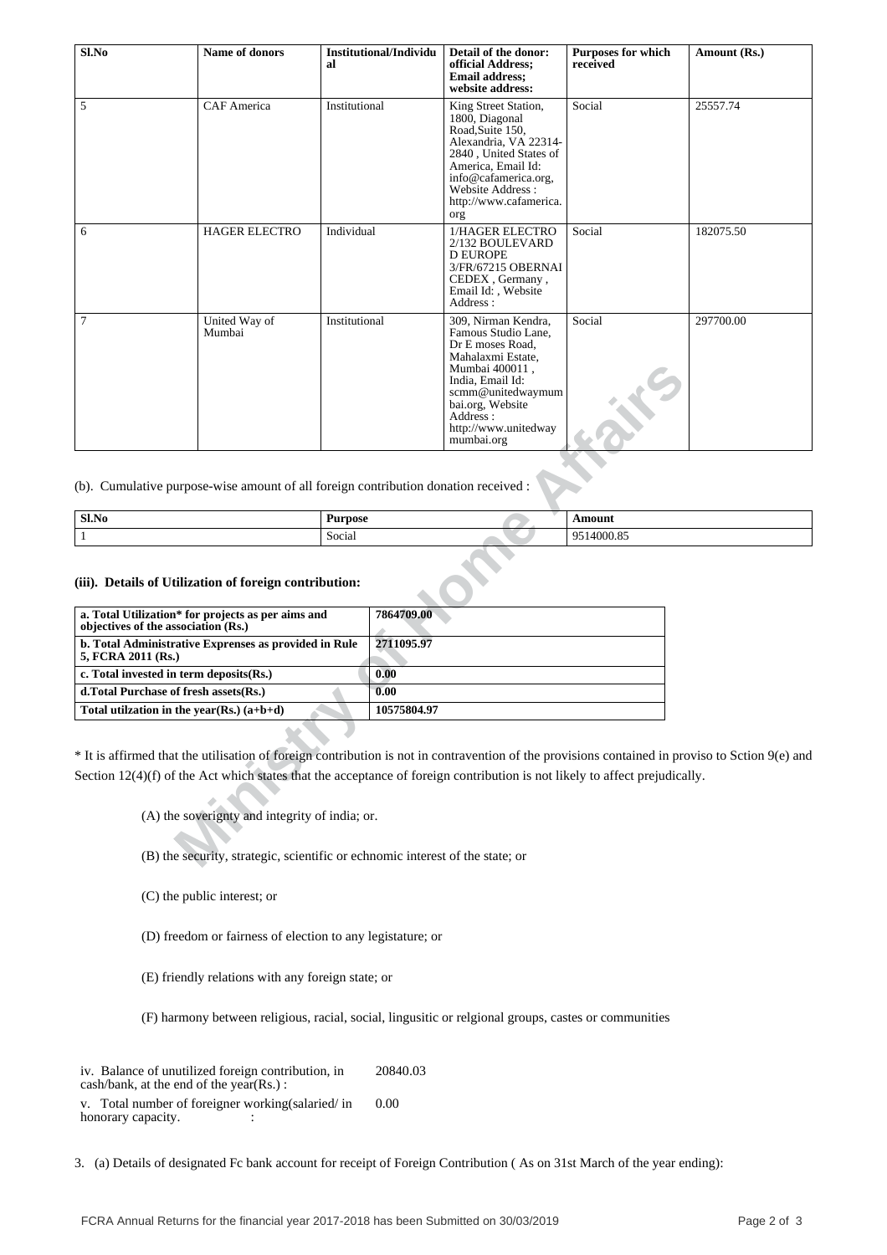| Sl.No | Name of donors          | Institutional/Individu<br>al | Detail of the donor:<br>official Address;<br><b>Email address:</b><br>website address:                                                                                                                               | <b>Purposes for which</b><br>received | Amount (Rs.) |
|-------|-------------------------|------------------------------|----------------------------------------------------------------------------------------------------------------------------------------------------------------------------------------------------------------------|---------------------------------------|--------------|
| 5     | <b>CAF</b> America      | Institutional                | King Street Station,<br>1800, Diagonal<br>Road, Suite 150,<br>Alexandria, VA 22314-<br>2840, United States of<br>America, Email Id:<br>info@cafamerica.org,<br>Website Address:<br>http://www.cafamerica.<br>org     | Social                                | 25557.74     |
| 6     | <b>HAGER ELECTRO</b>    | Individual                   | 1/HAGER ELECTRO<br>2/132 BOULEVARD<br><b>D EUROPE</b><br>3/FR/67215 OBERNAI<br>CEDEX, Germany,<br>Email Id:, Website<br>Address:                                                                                     | Social                                | 182075.50    |
| 7     | United Way of<br>Mumbai | Institutional                | 309, Nirman Kendra,<br>Famous Studio Lane,<br>Dr E moses Road,<br>Mahalaxmi Estate,<br>Mumbai 400011,<br>India, Email Id:<br>scmm@unitedwaymum<br>bai.org, Website<br>Address:<br>http://www.unitedway<br>mumbai.org | Social                                | 297700.00    |

| Sl.No | Purpose                     | \moun.                                                            |
|-------|-----------------------------|-------------------------------------------------------------------|
|       | $\cdot$<br>$\sim$<br>Social | 0 <sup>2</sup><br>$\sim$ $\sim$ $\sim$<br>$\Omega$<br>UUU.O.<br>. |

#### **(iii). Details of Utilization of foreign contribution:**

|                                                                                                                                                                                                                                                                                                         |                          |                          | Mumbai 400011,<br>India. Email Id:<br>scmm@unitedwaymum<br>bai.org, Website<br>Address:<br>http://www.unitedway<br>mumbai.org |                             |
|---------------------------------------------------------------------------------------------------------------------------------------------------------------------------------------------------------------------------------------------------------------------------------------------------------|--------------------------|--------------------------|-------------------------------------------------------------------------------------------------------------------------------|-----------------------------|
| (b). Cumulative purpose-wise amount of all foreign contribution donation received :                                                                                                                                                                                                                     |                          |                          |                                                                                                                               |                             |
| Sl.No<br>$\mathbf{1}$                                                                                                                                                                                                                                                                                   | <b>Purpose</b><br>Social |                          |                                                                                                                               | <b>Amount</b><br>9514000.85 |
| (iii). Details of Utilization of foreign contribution:<br>a. Total Utilization* for projects as per aims and<br>objectives of the association (Rs.)<br>b. Total Administrative Exprenses as provided in Rule<br>5, FCRA 2011 (Rs.)                                                                      |                          | 7864709.00<br>2711095.97 |                                                                                                                               |                             |
| c. Total invested in term deposits(Rs.)                                                                                                                                                                                                                                                                 |                          | 0.00                     |                                                                                                                               |                             |
| d.Total Purchase of fresh assets(Rs.)                                                                                                                                                                                                                                                                   |                          | 0.00                     |                                                                                                                               |                             |
| Total utilization in the year(Rs.) $(a+b+d)$                                                                                                                                                                                                                                                            |                          | 10575804.97              |                                                                                                                               |                             |
| * It is affirmed that the utilisation of foreign contribution is not in contravention of the provisions contained in pro<br>Section $12(4)(f)$ of the Act which states that the acceptance of foreign contribution is not likely to affect prejudical<br>(A) the soverignty and integrity of india; or. |                          |                          |                                                                                                                               |                             |
| (B) the security, strategic, scientific or echnomic interest of the state; or                                                                                                                                                                                                                           |                          |                          |                                                                                                                               |                             |

\* It is affirmed that the utilisation of foreign contribution is not in contravention of the provisions contained in proviso to Sction 9(e) and Section 12(4)(f) of the Act which states that the acceptance of foreign contribution is not likely to affect prejudically.

(C) the public interest; or

(D) freedom or fairness of election to any legistature; or

(E) friendly relations with any foreign state; or

(F) harmony between religious, racial, social, lingusitic or relgional groups, castes or communities

iv. Balance of unutilized foreign contribution, in cash/bank, at the end of the year(Rs.) : 20840.03 v. Total number of foreigner working(salaried/ in 0.00

honorary capacity.  $\qquad \qquad$  :

3. (a) Details of designated Fc bank account for receipt of Foreign Contribution ( As on 31st March of the year ending):